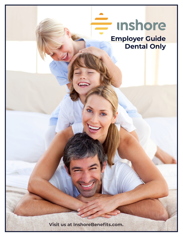# **Inshore**

**Employer Guide Dental Only**

**Visit us at InshoreBenefits.com.**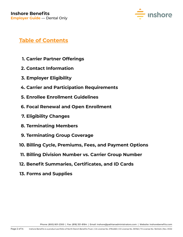

# **Table of Contents**

- **1. Carrier Partner Offerings**
- **2. Contact Information**
- **3. Employer Eligibility**
- **4. Carrier and Participation Requirements**
- **5. Enrollee Enrollment Guidelines**
- **6. Focal Renewal and Open Enrollment**
- **7. Eligibility Changes**
- **8. Terminating Members**
- **9. Terminating Group Coverage**
- **10. Billing Cycle, Premiums, Fees, and Payment Options**
- **11. Billing Division Number vs. Carrier Group Number**
- **12. Benefit Summaries, Certificates, and ID Cards**
- **13. Forms and Supplies**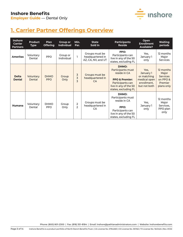

# **1. Carrier Partner Offerings Overview**

| <b>Inshore</b><br><b>Carrier</b><br><b>Partners</b> | <b>Product</b><br><b>Type</b> | <b>Plan</b><br><b>Offering</b> | <b>Group or</b><br><b>Individual</b> | Min.<br>Par.                    | <b>State</b><br>Sold In                                  | <b>Participants</b><br><b>Reside</b>                                                                                                         | Open<br><b>Enrollment</b><br><b>Available?</b>                                  | <b>Waiting</b><br>periods                                                         |
|-----------------------------------------------------|-------------------------------|--------------------------------|--------------------------------------|---------------------------------|----------------------------------------------------------|----------------------------------------------------------------------------------------------------------------------------------------------|---------------------------------------------------------------------------------|-----------------------------------------------------------------------------------|
| <b>Ameritas</b>                                     | Voluntary<br>Dental           | <b>PPO</b>                     | Group or<br>Individual               |                                 | Groups must be<br>headquartered in<br>AZ, CA, NV, and UT | PPO:<br>Participants can<br>live in any of the 50<br>states, excluding FL                                                                    | Yes,<br>January 1<br>only                                                       | 12 months<br>Major<br><b>Services</b>                                             |
| <b>Delta</b><br><b>Dental</b>                       | Voluntary<br>Dental           | <b>DHMO</b><br><b>PPO</b>      | Group<br>Only                        | 3<br>3<br>3                     | Groups must be<br>headquartered in<br><b>CA</b>          | DHMO:<br>Participants must<br>reside in CA<br><b>PPO &amp; Premier:</b><br>Participants can<br>live in any of the 50<br>states, excluding FL | Yes,<br>January 1<br>or matching<br>medical open<br>enrollment,<br>but not both | 12 months<br>Major<br><b>Services</b><br>on PPO &<br><b>Premier</b><br>plans only |
| <b>Humana</b>                                       | Voluntary<br>Dental           | <b>DHMO</b><br><b>PPO</b>      | Group<br>Only                        | $\overline{2}$<br>$\mathcal{P}$ | Groups must be<br>headquartered in<br>CA                 | <b>DHMO:</b><br>Participants must<br>reside in CA<br>PPO:<br>Participants can<br>live in any of the 50<br>states, excluding FL               | Yes,<br>January 1<br>only                                                       | 12 months<br>Major<br>Services,<br>PPO plan<br>only                               |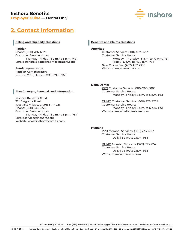## **Inshore Benefits**

**Employer Guide** — Dental Only



## **2. Contact Information**

#### **Billing and Eligibility Questions**

#### **Pathian**

Phone: (800) 786-6525 Customer Service Hours: Monday - Friday | 8 a.m. to 5 p.m. MST Email: inshore@pathianadministrators.com

#### **Remit payments to:**

Pathian Administrators PO Box 17791, Denver, CO 80217-0768

#### **Benefits and Claims Questions**

#### **Ameritas**

Customer Service: (800) 487-5553 Customer Service Hours: Monday - Thursday | 5 a.m. to 10 p.m. PST Friday | 5 a.m. to 4:30 p.m. PST New Claims Fax: (402) 467-7336 Website: www.ameritas.com

#### **Delta Dental**

PPO Customer Service: (800) 765-6003 Customer Service Hours: Monday - Friday | 5 a.m. to 5 p.m. PST

DHMO Customer Service: (800) 422-4234 Customer Service Hours: Monday - Friday | 5 a.m. to 6 p.m. PST Website: www.deltadentalins.com

#### **Humana**

PPO Member Services: (800) 233-4013 Customer Service Hours: Daily | 5 a.m. to 2 p.m. PST

DHMO Member Services: (877) 873-2241 Customer Service Hours: Daily | 5 a.m. to 2 p.m. PST Website: www.humana.com

Phone: (800) 801-2300 | Fax: (818) 351-8184 | Email: inshore@pathianadministrators.com | Website: inshorebenefits.com

#### **Plan Changes, Renewal, and Information**

#### **Inshore Benefits Trust**

32110 Agoura Road Westlake Village, CA 91361 - 4026 Phone: (888) 833-9220 Customer Service Hours: Monday - Friday | 8 a.m. to 5 p.m. PST Email: service@inshore.com Website: www.inshorebenefits.com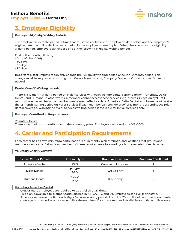

# **3. Employer Eligibility**

#### **Employer** *Eligibility* **Waiting Periods**

The employer selects the period of time that must pass between the employee's date of hire and the employee's eligible date to enroll or decline participation in the employer's benefit plan. Otherwise known as the eligibility waiting period. Employers can choose one of the following eligibility waiting periods:

First of the month following:

- Date of hire (DOH)
- 30 days
- 60 days
- 90 days

**Important Note:** Employers can only change their eligibility waiting period once in a 12 month period. This change must be requested in writing from Group Administrator, Company Owner or Officer, or their Broker of Record.

#### **Dental** *Benefit* **Waiting periods**

There is a 12 month waiting period on Major services with each Inshore dental carrier partner – Ameritas, Delta Dental, and Humana. In other words, a member cannot access these services (e.g. crowns, inlays, onlays) until 12 months have passed from the member's enrollment effective date. Ameritas, Delta Dental, and Humana will waive the 12 month waiting period on Major Services if each member can provide proof of 12 months of continuous prior dental coverage. Waiving the Major Services waiting period is available for initial enrollees only.

#### **Employer Contribution Requirements**

Voluntary Dental

There is no minimum contribution on the voluntary plans. Employers can contribute 0% - 100%.

## **4. Carrier and Participation Requirements**

Each carrier has its own minimum participation requirements, plan offerings, and locations that groups and members can reside. Below is an overview of these requirements followed by a bit more detail of each carrier.

#### **Voluntary Chart Overview**

| <b>Inshore Carrier Partner</b>             | <b>Product Type</b>             | <b>Group or Individual</b> | <b>Minimum Enrollment</b> |
|--------------------------------------------|---------------------------------|----------------------------|---------------------------|
| Ameritas Dental                            | <b>PPO</b>                      | Group and Individual       |                           |
| Delta Dental                               | DHMO <sup>1</sup><br><b>PPO</b> | Group only                 |                           |
| <b>DHMO</b><br>Humana Dental<br><b>PPO</b> |                                 | Group only                 |                           |

#### **Voluntary Ameritas Dental**

• ONE or more employees are required to be enrolled at all times.

- This plan is available to groups headquartered in AZ, CA, NV, and UT. Employees can live in any state.
- Ameritas will waive the 12-month Major Services waiting period, if proof of 12-months of continued prior dental coverage is provided. A prior carrier bill or the enrollees ID card are required. Available for initial enrollees only.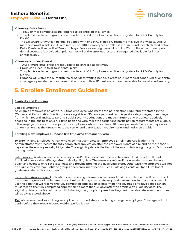

#### **Voluntary Delta Dental**

- THREE or more employees are required to be enrolled at all times.
- This plan is available to groups headquartered in CA. Employees can live in any state for PPO, CA only for DHMO.
- The DeltaCare DHMO can be dual optioned with one PPO plan. PPO residents may live in any state. DHMO members must reside in CA. A minimum of THREE employees enrolled is required under each elected option.
- Delta Dental will waive the 12-month Major Services waiting period if proof of 12-months of continued prior dental coverage is provided. A prior carrier bill or the enrollees ID card are required. Available for initial enrollees only.

#### **Voluntary Humana Dental**

- TWO or more employees are required to be enrolled at all times.
- Group can elect up to all four dental plans.
- This plan is available to groups headquartered in CA. Employees can live in any state for PPO, CA only for DHMO.
- Humana will waive the 12-month Major Services waiting period, if proof of 12-months of continued prior dental coverage is provided. A prior carrier bill or the enrollees ID card are required. Available for initial enrollees only.

## **5. Enrollee Enrollment Guidelines**

#### **Eligibility and Enrolling**

#### Eligible Employee

An eligible employee is an active, full-time employee who meets the participation requirements stated in the "Carrier and Participation" section, is working at least 30 hours per week, and is paid a salary, wages, or earnings from which federal and state tax and Social Security deductions are made. Partners and proprietors actively engaged in the business on a full-time basis and who meet the carrier and participation requirements are eligible. If the employer wishes to cover part-time employees who work at least 20 hours per week, he or she may do so, but only as long as the group meets the carrier and participation requirements outlined in this guide.

#### **Enrolling New Employees -** *Please Use Employee Enrollment Form*

To Enroll A New Employee: A new employee must complete an Employee Enrollment Application. The Administrator must receive the fully completed application after the employee's date of hire and no more than 45 days after the employee's eligibility date. The eligibility date is the first of the month following the group's imposed waiting period.

Late Enrollee: A late enrollee is an employee and/or their dependent(s) who has submitted their Enrollment Application more than 45 days after their eligibility date. These employee's and/or dependent(s) must have a qualifying event to enroll at a later date and provide proof of the qualifying event. Otherwise, the employee will not be eligible for coverage until the group's open enrollment period. (See Qualifying Events or Open Enrollment guidelines later in this document.)

Incomplete Applications: Applications with missing information are considered incomplete and will be returned to the agent or group administrator that submitted it to gather all the required information. In these cases, we will use the date that we receive the fully completed application to determine the coverage effective date. Pathian must receive the fully completed application no more than 45 days after the employee's eligibility date. The eligibility date is the first of the month following the group's imposed waiting period or else late enrollment rules will apply as stated above.

*Tip:* We recommend submitting an application immediately after hiring an eligible employee. Coverage will not begin before the group's elected waiting period is over.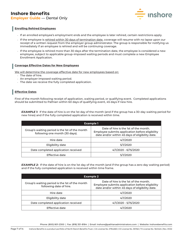

#### **Enrolling Rehired Employees**

- If an enrolled employee's employment ends and the employee is later rehired, certain restrictions apply.
- If the employee is rehired within 30 days of termination date, coverage will resume with no lapse upon our receipt of a written request from the employer group administrator. The group is responsible for notifying us immediately if an employee is rehired and will be continuing coverage.
- If the employee is rehired more than 30 days after the termination date, the employee is considered a new employee, subject to applicable group-imposed waiting periods and must complete a new Employee Enrollment Application.

#### **Coverage Effective Dates for New Employees**

We will determine the coverage effective date for new employees based on:

- The date of hire.
- An employer-imposed waiting period.
- The date we receive the fully completed application.

#### **Effective Dates**

First of the month following receipt of application, waiting period, or qualifying event. Completed applications should be submitted to Pathian within 60 days of qualifying event, 45 days if new hire.

*EXAMPLE 1:* If the date of hire is on the 1st day of the month (and if the group has a 30-day waiting period for new hires) and if the fully completed application is received within time.

| Example 1                                                                        |                                                                                                                                             |  |  |  |
|----------------------------------------------------------------------------------|---------------------------------------------------------------------------------------------------------------------------------------------|--|--|--|
| Group's waiting period is the 1st of the month<br>following one month (30 days). | Date of hire is the 1st of the month.<br>Employee submits application before eligibility<br>date and/or within 45 days of eligibility date. |  |  |  |
| Hire date                                                                        | 4/1/2020                                                                                                                                    |  |  |  |
| Eligibility date                                                                 | 5/1/2020                                                                                                                                    |  |  |  |
| Date completed application received                                              | 4/1/2020 - 6/15/2020                                                                                                                        |  |  |  |
| Effective date                                                                   | 5/1/2020                                                                                                                                    |  |  |  |

*EXAMPLE 2:* If the date of hire is on the 1st day of the month (and if the group has a zero day waiting period) and if the fully completed application is received within time frame.

| <b>Example 2</b>                                                          |                                                                                                                                             |  |  |
|---------------------------------------------------------------------------|---------------------------------------------------------------------------------------------------------------------------------------------|--|--|
| Group's waiting period is the 1st of the month<br>following date of hire. | Date of hire is the 1st of the month.<br>Employee submits application before eligibility<br>date and/or within 45 days of eligibility date. |  |  |
| Hire date                                                                 | 4/1/2020                                                                                                                                    |  |  |
| Eligibility date                                                          | 4/1/2020                                                                                                                                    |  |  |
| Date completed application received                                       | 4/1/2020 - 5/15/2020                                                                                                                        |  |  |
| Effective date                                                            | 4/1/2020                                                                                                                                    |  |  |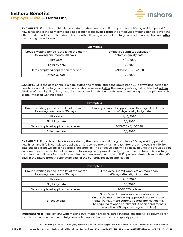

*EXAMPLE 3:* If the date of hire is a date during the month (and if the group has a 30-day waiting period for new hires) and if the fully completed application is received **before** the employee's waiting period is over, the effective date will be the first day of the month following receipt of the fully completed application and **after** the waiting period is met.

| Example 3                                                                        |                                                          |  |  |
|----------------------------------------------------------------------------------|----------------------------------------------------------|--|--|
| Group's waiting period is the 1st of the month<br>following one month (30 days). | Employee submits application<br>before eligibility date. |  |  |
| Hire date                                                                        | 4/10/2020                                                |  |  |
| Eligibility date                                                                 | 6/1/2020                                                 |  |  |
| Date completed application received                                              | 4/10/2020 - 7/15/2020                                    |  |  |
| Effective date                                                                   | 6/1/2020                                                 |  |  |

*EXAMPLE 4:* If the date of hire is a date during the month (and if the group has a 30-day waiting period for new hires) and if the fully completed application is received **after** the employee's eligibility date, but **within** 45-days of the eligibility date, the effective date will be the first of the month following the completion of the group-imposed waiting period.

| <b>Example 4</b>                                                                 |                                                                                                |  |  |  |
|----------------------------------------------------------------------------------|------------------------------------------------------------------------------------------------|--|--|--|
| Group's waiting period is the 1st of the month<br>following one month (30 days). | Employee submits application after eligibility date but<br>within 45 days of eligibility date. |  |  |  |
| Hire date                                                                        | 4/10/2020                                                                                      |  |  |  |
| Eligibility date                                                                 | 6/1/2020                                                                                       |  |  |  |
| Date completed application received                                              | 6/1/2020 - 7/15/2020                                                                           |  |  |  |
| Effective date                                                                   | 6/1/2020                                                                                       |  |  |  |

*EXAMPLE 5:* If the date of hire is a date during the month (and if the group has a 30-day waiting period for new hires) and if fully completed application is received more than 45 days after the employee's eligibility date, the applicant will be considered a late enrollee. The effective date will be delayed until the group's open enrollment or upon the first of the month following an approved qualifying event in the future. A new fully completed enrollment form will be required at open enrollment to enroll, if open enrollment is more than 60 days in the future from the signature date of the currently received application

| <b>Example 5</b>                                                                 |                                                                                                                                                                                                                                                               |  |  |  |
|----------------------------------------------------------------------------------|---------------------------------------------------------------------------------------------------------------------------------------------------------------------------------------------------------------------------------------------------------------|--|--|--|
| Group's waiting period is the 1st of the month<br>following one month (30 days). | Employee submits application more than<br>45 days after eligibility date.                                                                                                                                                                                     |  |  |  |
| Hire date                                                                        | 4/10/2020                                                                                                                                                                                                                                                     |  |  |  |
| Eligibility date                                                                 | 6/1/2020                                                                                                                                                                                                                                                      |  |  |  |
| Date completed application received                                              | 7/16/2020 or later                                                                                                                                                                                                                                            |  |  |  |
| Effective date                                                                   | Group's next open enrollment date or upon<br>first of the month following approved qualifying event<br>date. (A new, more currently dated application may<br>be required at open enrollment, if open enrollment is<br>more than 60 days past signature date). |  |  |  |

**Important Note:** Applications with missing information are considered incomplete and will be returned for completion. we must receive a fully completed application within the eligibility period.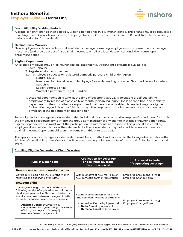

#### **Group Eligibility Waiting Periods**

A group can only change their eligibility waiting period once in a 12-month period. This change must be requested in writing from a Group Administrator, Company Owner or Officer, or their Broker of Record. Refer to the waiting period section for further detail.

#### **Declinations / Waivers**

New employees or dependents who do not elect coverage or existing employees who choose to end coverage must have (and provide proof of) a qualifying event to enroll at a later date or wait until the group's open enrollment period.

#### **Eligible Dependents**

An eligible employee may enroll his/her eligible dependents. Dependent coverage is available to:

- 1. Lawful spouse
- 2. Registered domestic partner
- 3. An employee's spouses or registered domestic partner's child under age 26.
	- Natural Child
		- Newborn child (must be enrolled by age 2 or 4, depending on carrier. See chart below for details).
		- Stepchild
		- Legally adopted child
		- Ward of a permanent Legal Guardian
- 4. Disabled dependent child who, at the time of becoming age 26, is incapable of self-sustaining employment by reason of a physically or mentally disabling injury, illness or condition, and is chiefly dependent on the subscriber for support and maintenance (a disabled dependent may be eligible for benefits beyond his or her 26th birthday). The employee is required to submit certification by a physician of the dependent child's condition.

To be eligible for coverage as a dependent, that individual must be listed on the employee's enrollment form. It is the employee's responsibility to inform the group administrator of any change in status of his/her dependents. Eligible dependents also must meet the participation requirements as outlined in this guide. If the enrolling employee does not elect to cover their dependents, then dependents may not enroll later unless there is a qualifying event. Dependent children may remain on this plan to age 26.

The application for coverage for a dependent must be submitted and received by the billing administrator within 60 days of the eligibility date. Coverage will be effective beginning on the 1st of the month following the qualifying event.

#### **Enrolling Eligible Dependents Chart Overview**

| <b>Type of Dependent</b>                                                                                                                                                                                                                                                                                                                                                                                              | <b>Application for coverage</b><br>or declining coverage<br>must be received:                                                                                                                    | And must include<br>(if requesting coverage):       |
|-----------------------------------------------------------------------------------------------------------------------------------------------------------------------------------------------------------------------------------------------------------------------------------------------------------------------------------------------------------------------------------------------------------------------|--------------------------------------------------------------------------------------------------------------------------------------------------------------------------------------------------|-----------------------------------------------------|
| New spouse or new domestic partner                                                                                                                                                                                                                                                                                                                                                                                    |                                                                                                                                                                                                  |                                                     |
| Coverage will begin on the 1st of the month<br>following the qualifying event date.                                                                                                                                                                                                                                                                                                                                   | Within 60 days of new marriage or<br>new domestic partner registration                                                                                                                           | Employee Enrollment Form or<br>Employee Change Form |
| Newborn child                                                                                                                                                                                                                                                                                                                                                                                                         |                                                                                                                                                                                                  |                                                     |
| Coverage will begin on the 1st of the month<br>following receipt of application and within the<br>child's first years of life. Newborn children can<br>enroll at any time between the ages of birth<br>through the following age for each carrier:<br>$\cdot$ Ameritas Dental by 2 years old.<br>Delta Dental by 4 years old. (After 30 days<br>of birth, can only add January 1).<br>· Humana Dental by 2 years old. | Newborn children can enroll at any<br>time between the ages of birth and:<br><b>Ameritas Dental by 2 years old.</b><br>Delta Dental by 4 years old<br>Humana Dental by 2 years old.<br>$\bullet$ | Employee Enrollment Form or<br>Employee Change Form |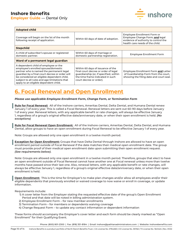

| <b>Adopted child</b>                                                                                                                                                                                                                                                                                              |                                                                                                                                                                                    |                                                                                                                                           |  |  |  |
|-------------------------------------------------------------------------------------------------------------------------------------------------------------------------------------------------------------------------------------------------------------------------------------------------------------------|------------------------------------------------------------------------------------------------------------------------------------------------------------------------------------|-------------------------------------------------------------------------------------------------------------------------------------------|--|--|--|
| Coverage will begin on the 1st of the month<br>following receipt of application.                                                                                                                                                                                                                                  | Within 60 days of date of adoption.                                                                                                                                                | Employee Enrollment Form or<br>Employee Change Form; and legal<br>evidence of authority to control the<br>health care needs of the child. |  |  |  |
| <b>Stepchild</b>                                                                                                                                                                                                                                                                                                  |                                                                                                                                                                                    |                                                                                                                                           |  |  |  |
| A child of subscriber's spouse or registered<br>domestic partner.                                                                                                                                                                                                                                                 | Within 60 days of marriage or<br>domestic partnership registration.                                                                                                                | Employee Enrollment Form                                                                                                                  |  |  |  |
| Ward of a permanent legal guardian                                                                                                                                                                                                                                                                                |                                                                                                                                                                                    |                                                                                                                                           |  |  |  |
| A dependent child of employee or the<br>employee's enrolled spouse/domestic<br>partner who is named the permanent legal<br>quardian by a final court decree or order will<br>be considered an eligible dependent child,<br>subject to all rules and age limitations that<br>apply to an eligible dependent child. | Within 60 days of issuance of the<br>final court decree or order of legal<br>quardianship (or, if specified, within<br>the time frame indicated in such<br>court decree or order). | Employee Enrollment Form and Letter<br>of Guardianship Form from the court,<br>showing the filing date and court seal.                    |  |  |  |

# **6. Focal Renewal and Open Enrollment**

*Please use applicable Employee Enrollment Form, Change Form, or Termination Form*

**Rule for Focal Renewal:** All of the Inshore carriers, Ameritas Dental, Delta Dental, and Humana Dental renew January 1 of every year. This is called a Focal Renewal. Renewal letters are sent out 60-90 days before January 1 of every year. Renewal letters, with any applicable benefit or rate changes, will always be effective January 1, regardless of a group's original effective date/anniversary date, or when their open enrollment is held. *(No exceptions)*

**Rule for Focal Renewal Open Enrollment:** All of the Inshore carriers, Ameritas Dental, Delta Dental, and Humana Dental, allow groups to have an open enrollment during Focal Renewal to be effective January 1 of every year.

Note: Groups are allowed only one open enrollment in a twelve month period.

**Exception for Open Enrollment:** Groups that have Delta Dental through Inshore are allowed to have an open enrollment period outside of Focal Renewal if the date matches their medical open enrollment date. The group must provide proof of their medical open enrollment date upon submitting their open enrollment request. *(See requirements below).*

Note: Groups are allowed only one open enrollment in a twelve month period. Therefore, groups that elect to have an open enrollment outside of Focal Renewal cannot have another one at Focal renewal unless more than twelve months have passed since their last one. Also, renewal letters, with any applicable benefit or rate changes, will always be effective January 1, regardless of a group's original effective date/anniversary date, or when their open enrollment is held.

**Open Enrollment:** This is the time for Employer's to make plan changes and/or allow all employees and/or their eligible dependents that previously enrolled or waived coverage to now waive or enroll in coverage, or update information.

Requirements include:

- 1) A cover letter from the Employer stating the requested effective date of the group's Open Enrollment Period and that date will be noted in billing administration system.
- 2) Employee Enrollment Form for new member enrollments
- 3) Termination Form for members or dependents waiving coverage
- 4) Change Request Form to update any contact information or dependent information

These forms should accompany the Employer's cover letter and each form should be clearly marked as "Open Enrollment" for their Qualifying Event.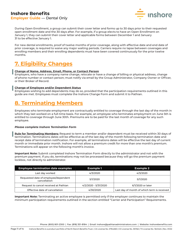

During Open Enrollment, a group can submit their cover letter and forms up to 30 days prior to their requested open enrollment date and the 30 days after. For example, if a group elects to have an Open Enrollment on January 1, they can submit their cover letter and applicable forms between December 1 and January 31 to be effective January 1.

For new dental enrollments, proof of twelve months of prior coverage, along with effective date and end date of prior coverage, is required to waive any major waiting periods. Carriers require no lapse between coverages and enrolling members and their enrolling dependents must have been covered continuously for the prior twelve months.

## **7. Eligibility Changes**

#### **Change of Name, Address, Email, Phone, or Contact Person**

Employers, who have a company name change, relocate or have a change of billing or physical address, change of phone number or contact person; must notify via email by the Group Administrator, Company Owner or Officer, or their Broker of Record.

#### **Change of Employee and/or Dependent Status**

Employees wishing to add dependents may do so, provided that the participation requirements outlined in this guide are met. Employees must complete the Inshore Change Form and submit it to Pathian.

## **8. Terminating Members**

Employees who terminate employment are contractually entitled to coverage through the last day of the month in which they last worked on a full-time basis. For example, an employee who terminates employment on June 5th is entitled to coverage through June 30th. Premiums are to be paid for the last month of coverage for any such employee.

#### *Please complete Inshore Termination Form*

**Rule for Terminating Members:** Request to term a member and/or dependent must be received within 30 days of termination. Terminations dates will be effective as of the last day of the month following termination date and receipt date of termination notification. For example, all terminations dates will be effective the last day of current month or immediate prior month. Inshore will not allow a premium credit for more than one month's premium. Terminations will appear on the following month's invoice.

**Important Note:** Submit completed Inshore Termination Form directly to the administrator and not with the premium payment. If you do, terminations may not be processed because they will go the premium payment lockbox, not directly to administrator.

| <b>Employee termination date examples</b>            | Example 1            | <b>Example 2</b>                            |
|------------------------------------------------------|----------------------|---------------------------------------------|
| Last day worked                                      | 4/3/2020             | 4/3/2020                                    |
| Requested date of employee/dependent<br>cancellation | 5/1/2020             | 5/1/2020                                    |
| Request to cancel received at Pathian                | 4/2/2020 - 5/31/2020 | 6/1/2020 or later                           |
| Effective date of cancellation                       | 4/30/2020            | Last day of month of which term is received |

**Important Note:** Terminating an active employee is permitted only if the employer continues to maintain the minimum participation requirements outlined in the section entitled "Carrier and Participation" Requirements.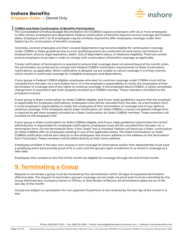

#### **COBRA and State Continuation of Benefits Participation**

The Consolidated Omnibus Budget Reconciliation Act (COBRA) requires employers with 20 or more employees to offer certain employees and dependents Federal continuation of benefits beyond normal coverage termination dates. Employers with 2 to 19 employees may be similarly required to offer employees coverage under their State's law for continuation of benefits coverage.

Generally, covered employees and their covered dependents may become eligible for continuation coverage under COBRA or State guidelines due to such qualifying events as a reduction of work hours, termination of employment, divorce, legal separation, death, loss of dependent status, or Medicare eligibility. There are certain actions employers must take in order to comply with continuation of benefits coverage, as applicable.

Timely notification of terminations is required to ensure that coverage does not extend beyond the month when the termination occurred and to comply with Federal COBRA notification requirements or State Continuation notifications, as applicable. When notification is delayed, we are unable to cancel coverage in a timely manner, which results in continued coverage for ineligible employees and dependents.

If your group is Federal COBRA eligible, employees who elect to continue coverage under COBRA must still be canceled from the plan via a termination form. It is the employer's responsibility to notify the employees of their termination of coverage and of any rights to continue coverage. If the employee elects COBRA, a newly completed change form is required to get them properly enrolled as a COBRA member. These members will billed on the employer's invoice.

If your group is State Continuation (or State COBRA) eligible, and if your state guidelines require that the employer is responsible for employee notifications, employees must still be canceled from the plan via a termination form. It is the employer's responsibility to notify the employees of their termination of coverage and of any rights to continue coverage. If the employee elects State Continuation (or State COBRA), a newly completed change form is required to get them properly enrolled as a State Continuation (or State COBRA) member. These members will invoiced on the employer's bill.

If your group is State Continuation (or State COBRA) eligible, and if your state guidelines require that the carrier/ administrator is responsible for employee notifications, employees must still be canceled from the plan via a termination form. On the termination form, if the "State" box is checked, Pathian will send out a State continuation (or State COBRA) offer to employees residing in any of the applicable states. The State Continuation (or State COBRA) notification will be sent directly to the employee's last known address or the address on the termination form if provided. These members will be billed directly at their home address.

Employees enrolled in the plan who choose to end coverage for themselves and/or their dependent(s) must have a qualifying event (and provide proof of it) or wait until the group's open enrollment to re-enroll in coverage at a later date.

Employees who worked on the first of the month are eligible for coverage through the end of that month.

# **9. Terminating a Group**

Request to terminate a group must be received by the administrator within 30 days of requested termination effective date. The request to terminate a group's coverage can be made via email and must be submitted by the Group Administrator, Company Owner or Officer, or their Broker of Record. All terminations dates are as of the last day of the month.

Groups are subject to cancellation for non-payment if premium is not received by the last day of the month it is due.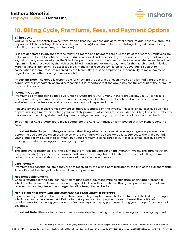

# **10. Billing Cycle, Premiums, Fees, and Payment Options**

#### **Billing Cycle**

You will receive a monthly invoice from Pathian that includes the due date, total premium due, past due amounts, any applicable fees, listing of those enrolled in the plan(s), enrollment tier, and a listing of any adjustments (e.g. eligibility changes, new hires, terminations).

Bills are generated in advance for the following month and payments are due the 1st of the month. Employees are not eligible for benefits until the premium due is received and processed by the administrator. Payments and/or eligibility changes received after the 5th of the prior month will not appear on the invoice. A late fee will be added if payment is not received by the 15th of the billed month. (For example, payment for the March premium is due March 1st and a late fee will be assessed if payment is not received by March 15th. Coverage is subject to cancellation if premium is not received by the March 31st.) It is the employer's responsibility to make payment regardless of whether or not you receive a bill.

**Important Note:** The group is responsible for checking the accuracy of each invoice and for notifying the billing administrator immediately of any discrepancies. It is important that the group pay the full amount of the premium listed on the invoice.

#### **Payment Options**

Premiums payments can be made via Check or Auto-draft (ACH). Many Inshore groups pay via ACH since it is faster processing and more efficient than reconciling checks. This prevents potential late fees, keeps processing and administrative fees low, and reduces the amount of paper and time.

If paying by check, please remit payment to address identified on the invoice. Please allow at least five business days for mailing time when making your monthly payment. All checks must include the Billing Division number as it appears on the billing statement. Payment is delayed when the group number is not listed on the check.

To sign up for ACH or Auto-draft, please complete the ACH Authorization form posted at www.inshorebenefits. com.

**Important Note:** Subject to the grace period, the billing administrator must receive your group's payment on or before the due date shown on the invoice, or the premium will be considered late. Subject to the grace period, your group policy is subject to termination if your premium is considered late. Please allow at least five days for mailing time when making your monthly payment.

#### **Fees**

The employer is responsible for the payment of any fees that appear on the monthly invoice. The administration fee (if applicable) appears on each invoice and covers; including, but not limited to: the cost of billing, premium collection and reconciliation, insurance record maintenance, and more.

#### **Late Payment**

Premiums are considered late if they are not received by the billing administrator by the 15th of the current month. A Late Fee will be charged for late remittance of premium.

#### **Not-Negotiable Checks**

Checks returned by the bank for insufficient funds, stop-payment, missing signature, or any other reason for which the bank would deem a check not-negotiable. This will be treated as though no premium payment was received. A handling fee will be charged for all not-negotiable checks.

#### *Non-payment of premiums due may result in cancellation of coverage*

If premium payment is not remitted on time, your policy may be terminated, effective as of the last day through which premiums have been paid. Failure to make your premium payment does not meet the notification requirements for canceling your coverage. You are required to pay premiums during your group's final month of coverage.

**Important Note:** Please allow at least five business days for mailing time when making your monthly payment.